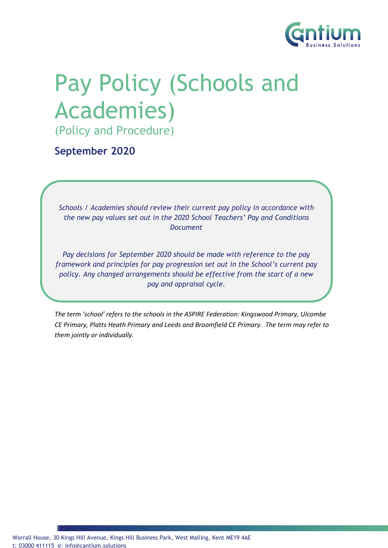

# Pay Policy (Schools and Academies)

(Policy and Procedure)

**September 2020**

*Schools / Academies should review their current pay policy in accordance with the new pay values set out in the 2020 School Teachers' Pay and Conditions Document*

*Pay decisions for September 2020 should be made with reference to the pay framework and principles for pay progression set out in the School's current pay policy. Any changed arrangements should be effective from the start of a new pay and appraisal cycle.*

*The term 'school' refers to the schools in the ASPIRE Federation: Kingswood Primary, Ulcombe CE Primary, Platts Heath Primary and Leeds and Broomfield CE Primary. The term may refer to Policy Guidance Notes for Schools & Academies.them jointly or individually.*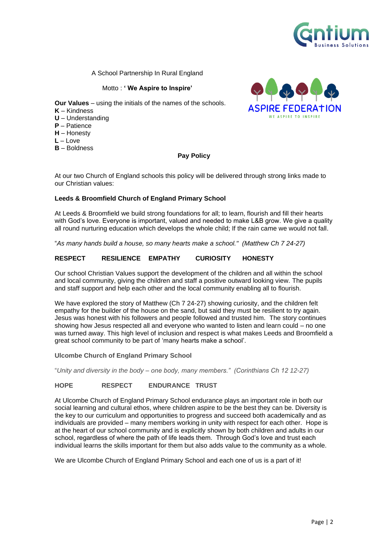

A School Partnership In Rural England

Motto : **' We Aspire to Inspire'** 

**Our Values** – using the initials of the names of the schools.

- **K** Kindness
- **U** Understanding
- **P** Patience
- **H** Honesty
- **L** Love
- **B** Boldness

#### **Pay Policy**



At our two Church of England schools this policy will be delivered through strong links made to our Christian values:

#### **Leeds & Broomfield Church of England Primary School**

At Leeds & Broomfield we build strong foundations for all; to learn, flourish and fill their hearts with God's love. Everyone is important, valued and needed to make L&B grow. We give a quality all round nurturing education which develops the whole child; If the rain came we would not fall.

"*As many hands build a house, so many hearts make a school." (Matthew Ch 7 24-27)*

#### **RESPECT RESILIENCE EMPATHY CURIOSITY HONESTY**

Our school Christian Values support the development of the children and all within the school and local community, giving the children and staff a positive outward looking view. The pupils and staff support and help each other and the local community enabling all to flourish.

We have explored the story of Matthew (Ch 7 24-27) showing curiosity, and the children felt empathy for the builder of the house on the sand, but said they must be resilient to try again. Jesus was honest with his followers and people followed and trusted him. The story continues showing how Jesus respected all and everyone who wanted to listen and learn could – no one was turned away. This high level of inclusion and respect is what makes Leeds and Broomfield a great school community to be part of 'many hearts make a school'.

**Ulcombe Church of England Primary School**

"*Unity and diversity in the body – one body, many members." (Corinthians Ch 12 12-27)*

#### **HOPE RESPECT ENDURANCE TRUST**

At Ulcombe Church of England Primary School endurance plays an important role in both our social learning and cultural ethos, where children aspire to be the best they can be. Diversity is the key to our curriculum and opportunities to progress and succeed both academically and as individuals are provided – many members working in unity with respect for each other. Hope is at the heart of our school community and is explicitly shown by both children and adults in our school, regardless of where the path of life leads them. Through God's love and trust each individual learns the skills important for them but also adds value to the community as a whole.

We are Ulcombe Church of England Primary School and each one of us is a part of it!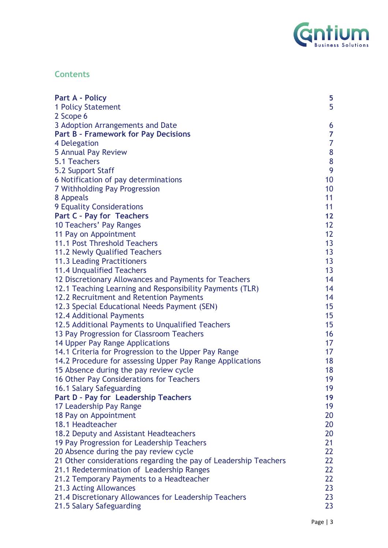

# **Contents**

| <b>Part A - Policy</b>                                                            | 5                 |
|-----------------------------------------------------------------------------------|-------------------|
| <b>1 Policy Statement</b>                                                         | 5                 |
| 2 Scope 6                                                                         |                   |
| 3 Adoption Arrangements and Date                                                  | 6                 |
| <b>Part B - Framework for Pay Decisions</b>                                       | $\overline{7}$    |
| 4 Delegation                                                                      | $\overline{7}$    |
| 5 Annual Pay Review                                                               | $\bf 8$           |
| 5.1 Teachers                                                                      | $\pmb{8}$         |
| 5.2 Support Staff                                                                 | 9                 |
| 6 Notification of pay determinations                                              | 10                |
| 7 Withholding Pay Progression                                                     | 10                |
| 8 Appeals                                                                         | 11                |
| 9 Equality Considerations                                                         | 11                |
| Part C - Pay for Teachers                                                         | 12                |
| 10 Teachers' Pay Ranges                                                           | $12 \overline{ }$ |
| 11 Pay on Appointment                                                             | 12 <sup>2</sup>   |
| 11.1 Post Threshold Teachers                                                      | 13                |
| 11.2 Newly Qualified Teachers                                                     | 13 <sup>°</sup>   |
| 11.3 Leading Practitioners                                                        | 13 <sup>°</sup>   |
| 11.4 Unqualified Teachers                                                         | 13                |
| 12 Discretionary Allowances and Payments for Teachers                             | 14                |
| 12.1 Teaching Learning and Responsibility Payments (TLR)                          | 14                |
| 12.2 Recruitment and Retention Payments                                           | 14                |
| 12.3 Special Educational Needs Payment (SEN)                                      | 15                |
| 12.4 Additional Payments                                                          | 15 <sub>1</sub>   |
| 12.5 Additional Payments to Unqualified Teachers                                  | 15                |
| 13 Pay Progression for Classroom Teachers                                         | 16                |
| 14 Upper Pay Range Applications                                                   | 17 <sup>2</sup>   |
| 14.1 Criteria for Progression to the Upper Pay Range                              | 17                |
| 14.2 Procedure for assessing Upper Pay Range Applications                         | 18                |
| 15 Absence during the pay review cycle                                            | 18                |
| 16 Other Pay Considerations for Teachers                                          | 19                |
| 16.1 Salary Safeguarding                                                          | 19                |
| Part D - Pay for Leadership Teachers                                              | 19                |
| 17 Leadership Pay Range                                                           | 19                |
| 18 Pay on Appointment                                                             | 20                |
| 18.1 Headteacher                                                                  | 20                |
| 18.2 Deputy and Assistant Headteachers                                            | 20                |
| 19 Pay Progression for Leadership Teachers                                        | 21                |
| 20 Absence during the pay review cycle                                            | 22                |
| 21 Other considerations regarding the pay of Leadership Teachers                  | 22                |
| 21.1 Redetermination of Leadership Ranges                                         | 22                |
| 21.2 Temporary Payments to a Headteacher                                          | 22<br>23          |
| 21.3 Acting Allowances                                                            | 23                |
| 21.4 Discretionary Allowances for Leadership Teachers<br>21.5 Salary Safeguarding | 23                |
|                                                                                   |                   |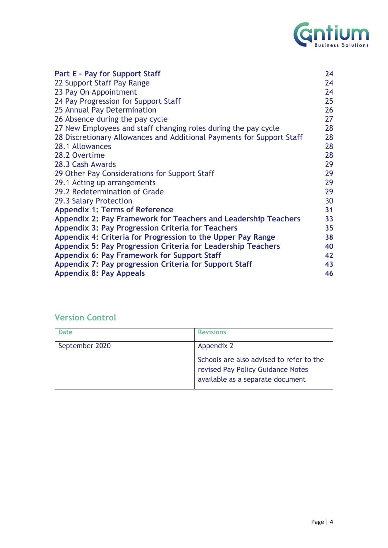

| <b>Part E - Pay for Support Staff</b>                                 | 24 |
|-----------------------------------------------------------------------|----|
| 22 Support Staff Pay Range                                            | 24 |
| 23 Pay On Appointment                                                 | 24 |
| 24 Pay Progression for Support Staff                                  | 25 |
| 25 Annual Pay Determination                                           | 26 |
| 26 Absence during the pay cycle                                       | 27 |
| 27 New Employees and staff changing roles during the pay cycle        | 28 |
| 28 Discretionary Allowances and Additional Payments for Support Staff | 28 |
| 28.1 Allowances                                                       | 28 |
| 28.2 Overtime                                                         | 28 |
| 28.3 Cash Awards                                                      | 29 |
|                                                                       |    |
| 29 Other Pay Considerations for Support Staff                         | 29 |
| 29.1 Acting up arrangements                                           | 29 |
| 29.2 Redetermination of Grade                                         | 29 |
| 29.3 Salary Protection                                                | 30 |
| <b>Appendix 1: Terms of Reference</b>                                 | 31 |
| Appendix 2: Pay Framework for Teachers and Leadership Teachers        | 33 |
| <b>Appendix 3: Pay Progression Criteria for Teachers</b>              | 35 |
| Appendix 4: Criteria for Progression to the Upper Pay Range           | 38 |
| Appendix 5: Pay Progression Criteria for Leadership Teachers          | 40 |
| <b>Appendix 6: Pay Framework for Support Staff</b>                    | 42 |
| Appendix 7: Pay progression Criteria for Support Staff                | 43 |
| <b>Appendix 8: Pay Appeals</b>                                        | 46 |
|                                                                       |    |

# **Version Control**

| Date           | <b>Revisions</b>                                                                                                  |
|----------------|-------------------------------------------------------------------------------------------------------------------|
| September 2020 | Appendix 2                                                                                                        |
|                | Schools are also advised to refer to the<br>revised Pay Policy Guidance Notes<br>available as a separate document |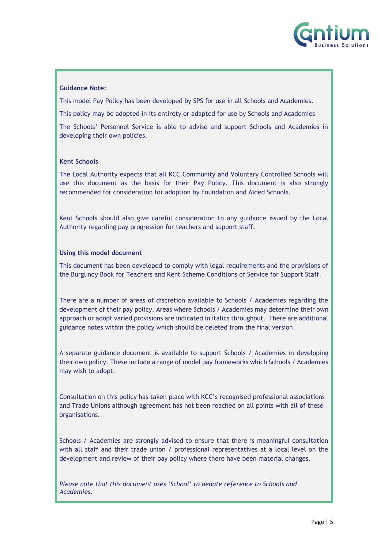

#### **Guidance Note:**

This model Pay Policy has been developed by SPS for use in all Schools and Academies.

This policy may be adopted in its entirety or adapted for use by Schools and Academies

The Schools' Personnel Service is able to advise and support Schools and Academies in developing their own policies.

#### **Kent Schools**

The Local Authority expects that all KCC Community and Voluntary Controlled Schools will use this document as the basis for their Pay Policy. This document is also strongly recommended for consideration for adoption by Foundation and Aided Schools.

Kent Schools should also give careful consideration to any guidance issued by the Local Authority regarding pay progression for teachers and support staff.

#### **Using this model document**

This document has been developed to comply with legal requirements and the provisions of the Burgundy Book for Teachers and Kent Scheme Conditions of Service for Support Staff.

There are a number of areas of discretion available to Schools / Academies regarding the development of their pay policy. Areas where Schools / Academies may determine their own approach or adopt varied provisions are indicated in italics throughout. There are additional guidance notes within the policy which should be deleted from the final version.

A separate guidance document is available to support Schools / Academies in developing their own policy. These include a range of model pay frameworks which Schools / Academies may wish to adopt.

Consultation on this policy has taken place with KCC's recognised professional associations and Trade Unions although agreement has not been reached on all points with all of these organisations.

Schools / Academies are strongly advised to ensure that there is meaningful consultation with all staff and their trade union / professional representatives at a local level on the development and review of their pay policy where there have been material changes.

<span id="page-4-0"></span>*Please note that this document uses 'School' to denote reference to Schools and Academies.*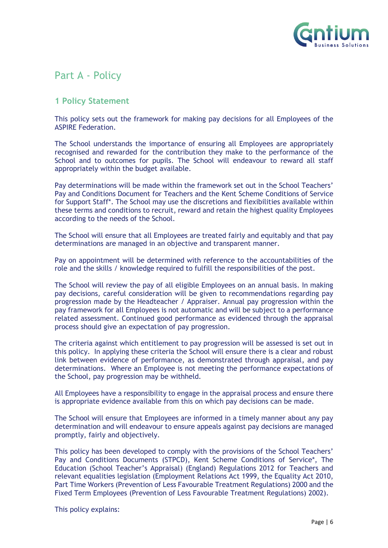

# Part A - Policy

### <span id="page-5-0"></span>**1 Policy Statement**

This policy sets out the framework for making pay decisions for all Employees of the ASPIRE Federation.

The School understands the importance of ensuring all Employees are appropriately recognised and rewarded for the contribution they make to the performance of the School and to outcomes for pupils. The School will endeavour to reward all staff appropriately within the budget available.

Pay determinations will be made within the framework set out in the School Teachers' Pay and Conditions Document for Teachers and the Kent Scheme Conditions of Service for Support Staff\*. The School may use the discretions and flexibilities available within these terms and conditions to recruit, reward and retain the highest quality Employees according to the needs of the School.

The School will ensure that all Employees are treated fairly and equitably and that pay determinations are managed in an objective and transparent manner.

Pay on appointment will be determined with reference to the accountabilities of the role and the skills / knowledge required to fulfill the responsibilities of the post.

The School will review the pay of all eligible Employees on an annual basis. In making pay decisions, careful consideration will be given to recommendations regarding pay progression made by the Headteacher / Appraiser. Annual pay progression within the pay framework for all Employees is not automatic and will be subject to a performance related assessment. Continued good performance as evidenced through the appraisal process should give an expectation of pay progression.

The criteria against which entitlement to pay progression will be assessed is set out in this policy. In applying these criteria the School will ensure there is a clear and robust link between evidence of performance, as demonstrated through appraisal, and pay determinations. Where an Employee is not meeting the performance expectations of the School, pay progression may be withheld.

All Employees have a responsibility to engage in the appraisal process and ensure there is appropriate evidence available from this on which pay decisions can be made.

The School will ensure that Employees are informed in a timely manner about any pay determination and will endeavour to ensure appeals against pay decisions are managed promptly, fairly and objectively.

This policy has been developed to comply with the provisions of the School Teachers' Pay and Conditions Documents (STPCD), Kent Scheme Conditions of Service\*, The Education (School Teacher's Appraisal) (England) Regulations 2012 for Teachers and relevant equalities legislation (Employment Relations Act 1999, the Equality Act 2010, Part Time Workers (Prevention of Less Favourable Treatment Regulations) 2000 and the Fixed Term Employees (Prevention of Less Favourable Treatment Regulations) 2002).

This policy explains: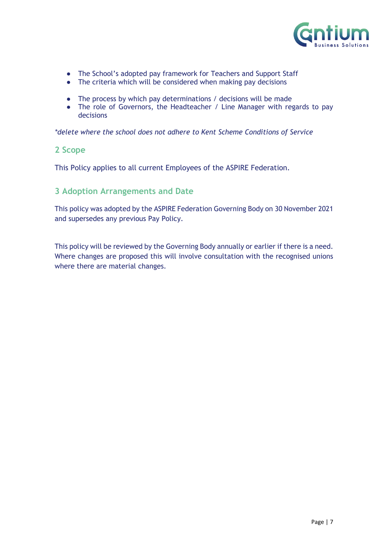

- The School's adopted pay framework for Teachers and Support Staff
- The criteria which will be considered when making pay decisions
- The process by which pay determinations / decisions will be made
- The role of Governors, the Headteacher / Line Manager with regards to pay decisions

*\*delete where the school does not adhere to Kent Scheme Conditions of Service*

#### <span id="page-6-0"></span>**2 Scope**

This Policy applies to all current Employees of the ASPIRE Federation.

### <span id="page-6-1"></span>**3 Adoption Arrangements and Date**

This policy was adopted by the ASPIRE Federation Governing Body on 30 November 2021 and supersedes any previous Pay Policy.

<span id="page-6-2"></span>This policy will be reviewed by the Governing Body annually or earlier if there is a need. Where changes are proposed this will involve consultation with the recognised unions where there are material changes.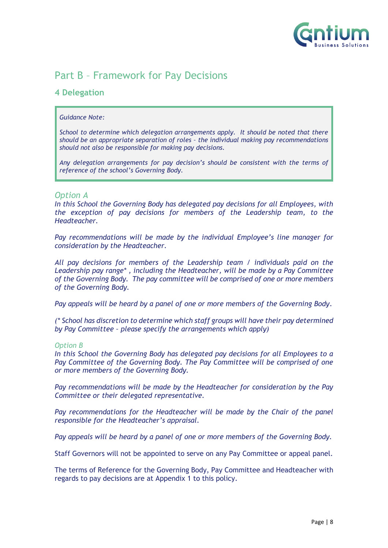

# Part B – Framework for Pay Decisions

### <span id="page-7-0"></span>**4 Delegation**

#### *Guidance Note:*

*School to determine which delegation arrangements apply. It should be noted that there should be an appropriate separation of roles – the individual making pay recommendations should not also be responsible for making pay decisions.*

*Any delegation arrangements for pay decision's should be consistent with the terms of reference of the school's Governing Body.*

#### *Option A*

*In this School the Governing Body has delegated pay decisions for all Employees, with the exception of pay decisions for members of the Leadership team, to the Headteacher.*

*Pay recommendations will be made by the individual Employee's line manager for consideration by the Headteacher.*

*All pay decisions for members of the Leadership team / individuals paid on the Leadership pay range\* , including the Headteacher, will be made by a Pay Committee of the Governing Body. The pay committee will be comprised of one or more members of the Governing Body.*

*Pay appeals will be heard by a panel of one or more members of the Governing Body*.

*(\* School has discretion to determine which staff groups will have their pay determined by Pay Committee – please specify the arrangements which apply)*

#### *Option B*

*In this School the Governing Body has delegated pay decisions for all Employees to a Pay Committee of the Governing Body. The Pay Committee will be comprised of one or more members of the Governing Body.*

*Pay recommendations will be made by the Headteacher for consideration by the Pay Committee or their delegated representative.*

Pay recommendations for the Headteacher will be made by the Chair of the panel *responsible for the Headteacher's appraisal.*

*Pay appeals will be heard by a panel of one or more members of the Governing Body.*

Staff Governors will not be appointed to serve on any Pay Committee or appeal panel.

<span id="page-7-1"></span>The terms of Reference for the Governing Body, Pay Committee and Headteacher with regards to pay decisions are at Appendix 1 to this policy.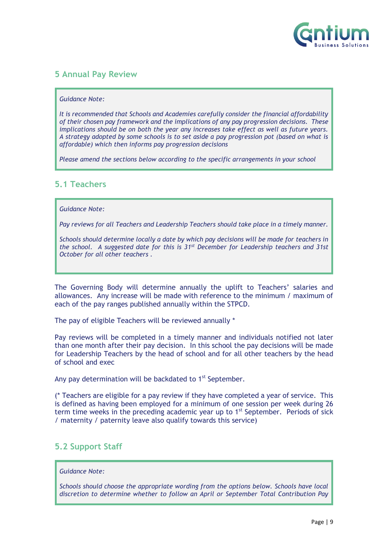

## **5 Annual Pay Review**

#### *Guidance Note:*

*It is recommended that Schools and Academies carefully consider the financial affordability of their chosen pay framework and the implications of any pay progression decisions. These implications should be on both the year any increases take effect as well as future years. A strategy adopted by some schools is to set aside a pay progression pot (based on what is affordable) which then informs pay progression decisions*

*Please amend the sections below according to the specific arrangements in your school*

### <span id="page-8-0"></span>**5.1 Teachers**

#### *Guidance Note:*

*Pay reviews for all Teachers and Leadership Teachers should take place in a timely manner.*

*Schools should determine locally a date by which pay decisions will be made for teachers in the school. A suggested date for this is 31st December for Leadership teachers and 31st October for all other teachers .*

The Governing Body will determine annually the uplift to Teachers' salaries and allowances. Any increase will be made with reference to the minimum / maximum of each of the pay ranges published annually within the STPCD.

The pay of eligible Teachers will be reviewed annually \*

Pay reviews will be completed in a timely manner and individuals notified not later than one month after their pay decision. In this school the pay decisions will be made for Leadership Teachers by the head of school and for all other teachers by the head of school and exec

Any pay determination will be backdated to 1<sup>st</sup> September.

(\* Teachers are eligible for a pay review if they have completed a year of service. This is defined as having been employed for a minimum of one session per week during 26 term time weeks in the preceding academic year up to  $1<sup>st</sup>$  September. Periods of sick / maternity / paternity leave also qualify towards this service)

### <span id="page-8-1"></span>**5.2 Support Staff**

#### *Guidance Note:*

*Schools should choose the appropriate wording from the options below. Schools have local discretion to determine whether to follow an April or September Total Contribution Pay*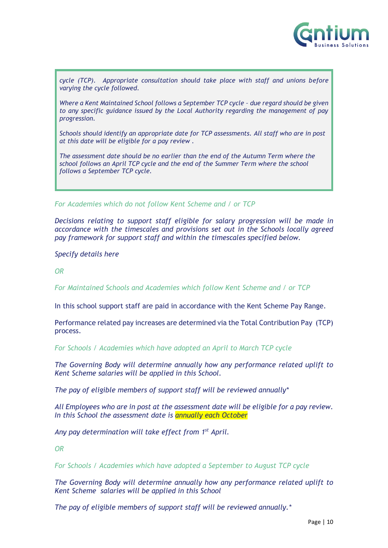

*cycle (TCP). Appropriate consultation should take place with staff and unions before varying the cycle followed.*

*Where a Kent Maintained School follows a September TCP cycle – due regard should be given to any specific guidance issued by the Local Authority regarding the management of pay progression.*

*Schools should identify an appropriate date for TCP assessments. All staff who are in post at this date will be eligible for a pay review .*

*The assessment date should be no earlier than the end of the Autumn Term where the school follows an April TCP cycle and the end of the Summer Term where the school follows a September TCP cycle.*

*For Academies which do not follow Kent Scheme and / or TCP*

*Decisions relating to support staff eligible for salary progression will be made in accordance with the timescales and provisions set out in the Schools locally agreed pay framework for support staff and within the timescales specified below.*

*Specify details here*

*OR* 

*For Maintained Schools and Academies which follow Kent Scheme and / or TCP* 

In this school support staff are paid in accordance with the Kent Scheme Pay Range.

Performance related pay increases are determined via the Total Contribution Pay (TCP) process.

*For Schools / Academies which have adopted an April to March TCP cycle* 

*The Governing Body will determine annually how any performance related uplift to Kent Scheme salaries will be applied in this School.*

*The pay of eligible members of support staff will be reviewed annually\**

*All Employees who are in post at the assessment date will be eligible for a pay review. In this School the assessment date is annually each October* 

*Any pay determination will take effect from 1st April.* 

*OR* 

*For Schools / Academies which have adopted a September to August TCP cycle*

*The Governing Body will determine annually how any performance related uplift to Kent Scheme salaries will be applied in this School*

*The pay of eligible members of support staff will be reviewed annually.\**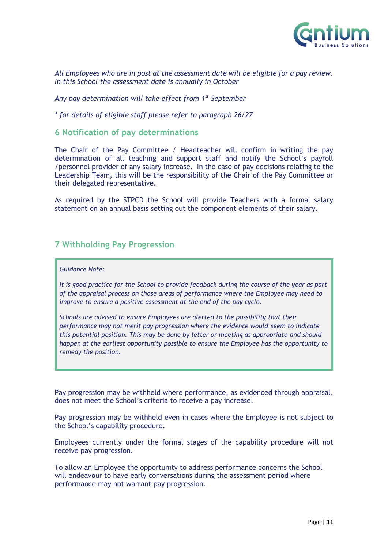

*All Employees who are in post at the assessment date will be eligible for a pay review. In this School the assessment date is annually in October* 

*Any pay determination will take effect from 1st September*

*\* for details of eligible staff please refer to paragraph 26/27*

#### <span id="page-10-0"></span>**6 Notification of pay determinations**

The Chair of the Pay Committee / Headteacher will confirm in writing the pay determination of all teaching and support staff and notify the School's payroll /personnel provider of any salary increase. In the case of pay decisions relating to the Leadership Team, this will be the responsibility of the Chair of the Pay Committee or their delegated representative.

As required by the STPCD the School will provide Teachers with a formal salary statement on an annual basis setting out the component elements of their salary.

### <span id="page-10-1"></span>**7 Withholding Pay Progression**

#### *Guidance Note:*

*It is good practice for the School to provide feedback during the course of the year as part of the appraisal process on those areas of performance where the Employee may need to improve to ensure a positive assessment at the end of the pay cycle.*

*Schools are advised to ensure Employees are alerted to the possibility that their performance may not merit pay progression where the evidence would seem to indicate this potential position. This may be done by letter or meeting as appropriate and should happen at the earliest opportunity possible to ensure the Employee has the opportunity to remedy the position.* 

Pay progression may be withheld where performance, as evidenced through appraisal, does not meet the School's criteria to receive a pay increase.

Pay progression may be withheld even in cases where the Employee is not subject to the School's capability procedure.

Employees currently under the formal stages of the capability procedure will not receive pay progression.

<span id="page-10-2"></span>To allow an Employee the opportunity to address performance concerns the School will endeavour to have early conversations during the assessment period where performance may not warrant pay progression.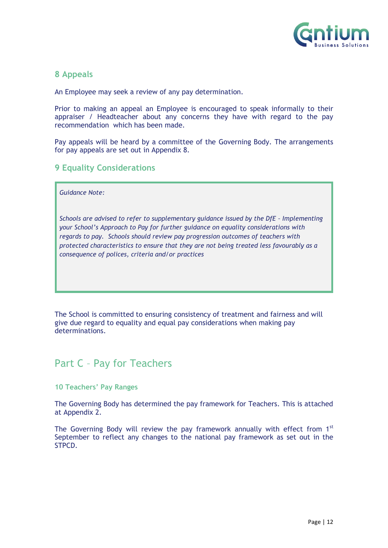

### **8 Appeals**

An Employee may seek a review of any pay determination.

Prior to making an appeal an Employee is encouraged to speak informally to their appraiser / Headteacher about any concerns they have with regard to the pay recommendation which has been made.

Pay appeals will be heard by a committee of the Governing Body. The arrangements for pay appeals are set out in Appendix 8.

### <span id="page-11-0"></span>**9 Equality Considerations**

*Guidance Note:*

*Schools are advised to refer to supplementary guidance issued by the DfE - Implementing your School's Approach to Pay for further guidance on equality considerations with regards to pay. Schools should review pay progression outcomes of teachers with protected characteristics to ensure that they are not being treated less favourably as a consequence of polices, criteria and/or practices*

The School is committed to ensuring consistency of treatment and fairness and will give due regard to equality and equal pay considerations when making pay determinations.

# <span id="page-11-1"></span>Part C – Pay for Teachers

#### <span id="page-11-2"></span>**10 Teachers' Pay Ranges**

The Governing Body has determined the pay framework for Teachers. This is attached at Appendix 2.

<span id="page-11-3"></span>The Governing Body will review the pay framework annually with effect from  $1<sup>st</sup>$ September to reflect any changes to the national pay framework as set out in the STPCD.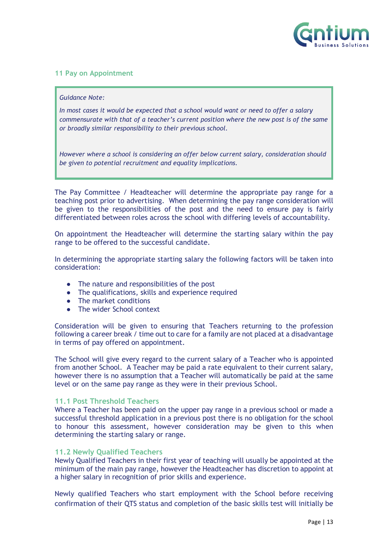

#### **11 Pay on Appointment**

#### *Guidance Note:*

*In most cases it would be expected that a school would want or need to offer a salary commensurate with that of a teacher's current position where the new post is of the same or broadly similar responsibility to their previous school.* 

*However where a school is considering an offer below current salary, consideration should be given to potential recruitment and equality implications.* 

The Pay Committee / Headteacher will determine the appropriate pay range for a teaching post prior to advertising. When determining the pay range consideration will be given to the responsibilities of the post and the need to ensure pay is fairly differentiated between roles across the school with differing levels of accountability.

On appointment the Headteacher will determine the starting salary within the pay range to be offered to the successful candidate.

In determining the appropriate starting salary the following factors will be taken into consideration:

- The nature and responsibilities of the post
- The qualifications, skills and experience required
- The market conditions
- The wider School context

Consideration will be given to ensuring that Teachers returning to the profession following a career break / time out to care for a family are not placed at a disadvantage in terms of pay offered on appointment.

The School will give every regard to the current salary of a Teacher who is appointed from another School. A Teacher may be paid a rate equivalent to their current salary, however there is no assumption that a Teacher will automatically be paid at the same level or on the same pay range as they were in their previous School.

#### <span id="page-12-0"></span>**11.1 Post Threshold Teachers**

Where a Teacher has been paid on the upper pay range in a previous school or made a successful threshold application in a previous post there is no obligation for the school to honour this assessment, however consideration may be given to this when determining the starting salary or range.

#### <span id="page-12-1"></span>**11.2 Newly Qualified Teachers**

Newly Qualified Teachers in their first year of teaching will usually be appointed at the minimum of the main pay range, however the Headteacher has discretion to appoint at a higher salary in recognition of prior skills and experience.

Newly qualified Teachers who start employment with the School before receiving confirmation of their QTS status and completion of the basic skills test will initially be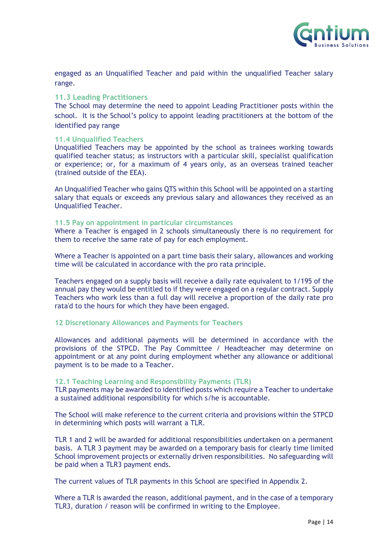

engaged as an Unqualified Teacher and paid within the unqualified Teacher salary range.

#### <span id="page-13-0"></span>**11.3 Leading Practitioners**

The School may determine the need to appoint Leading Practitioner posts within the school. It is the School's policy to appoint leading practitioners at the bottom of the identified pay range

#### <span id="page-13-1"></span>**11.4 Unqualified Teachers**

Unqualified Teachers may be appointed by the school as trainees working towards qualified teacher status; as instructors with a particular skill, specialist qualification or experience; or, for a maximum of 4 years only, as an overseas trained teacher (trained outside of the EEA).

An Unqualified Teacher who gains QTS within this School will be appointed on a starting salary that equals or exceeds any previous salary and allowances they received as an Unqualified Teacher.

#### **11.5 Pay on appointment in particular circumstances**

Where a Teacher is engaged in 2 schools simultaneously there is no requirement for them to receive the same rate of pay for each employment.

Where a Teacher is appointed on a part time basis their salary, allowances and working time will be calculated in accordance with the pro rata principle.

Teachers engaged on a supply basis will receive a daily rate equivalent to 1/195 of the annual pay they would be entitled to if they were engaged on a regular contract. Supply Teachers who work less than a full day will receive a proportion of the daily rate pro rata'd to the hours for which they have been engaged.

#### <span id="page-13-2"></span>**12 Discretionary Allowances and Payments for Teachers**

Allowances and additional payments will be determined in accordance with the provisions of the STPCD. The Pay Committee / Headteacher may determine on appointment or at any point during employment whether any allowance or additional payment is to be made to a Teacher.

#### <span id="page-13-3"></span>**12.1 Teaching Learning and Responsibility Payments (TLR)**

TLR payments may be awarded to identified posts which require a Teacher to undertake a sustained additional responsibility for which s/he is accountable.

The School will make reference to the current criteria and provisions within the STPCD in determining which posts will warrant a TLR.

TLR 1 and 2 will be awarded for additional responsibilities undertaken on a permanent basis. A TLR 3 payment may be awarded on a temporary basis for clearly time limited School improvement projects or externally driven responsibilities. No safeguarding will be paid when a TLR3 payment ends.

The current values of TLR payments in this School are specified in Appendix 2.

Where a TLR is awarded the reason, additional payment, and in the case of a temporary TLR3, duration / reason will be confirmed in writing to the Employee.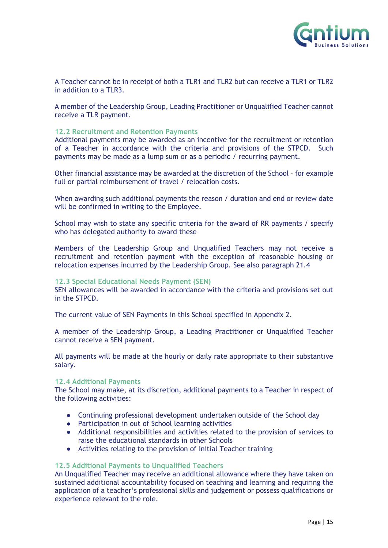

A Teacher cannot be in receipt of both a TLR1 and TLR2 but can receive a TLR1 or TLR2 in addition to a TLR3.

A member of the Leadership Group, Leading Practitioner or Unqualified Teacher cannot receive a TLR payment.

#### <span id="page-14-0"></span>**12.2 Recruitment and Retention Payments**

Additional payments may be awarded as an incentive for the recruitment or retention of a Teacher in accordance with the criteria and provisions of the STPCD. Such payments may be made as a lump sum or as a periodic / recurring payment.

Other financial assistance may be awarded at the discretion of the School – for example full or partial reimbursement of travel / relocation costs.

When awarding such additional payments the reason / duration and end or review date will be confirmed in writing to the Employee.

School may wish to state any specific criteria for the award of RR payments / specify who has delegated authority to award these

Members of the Leadership Group and Unqualified Teachers may not receive a recruitment and retention payment with the exception of reasonable housing or relocation expenses incurred by the Leadership Group. See also paragraph 21.4

#### <span id="page-14-1"></span>**12.3 Special Educational Needs Payment (SEN)**

SEN allowances will be awarded in accordance with the criteria and provisions set out in the STPCD.

The current value of SEN Payments in this School specified in Appendix 2.

A member of the Leadership Group, a Leading Practitioner or Unqualified Teacher cannot receive a SEN payment.

All payments will be made at the hourly or daily rate appropriate to their substantive salary.

#### <span id="page-14-2"></span>**12.4 Additional Payments**

The School may make, at its discretion, additional payments to a Teacher in respect of the following activities:

- Continuing professional development undertaken outside of the School day
- Participation in out of School learning activities
- Additional responsibilities and activities related to the provision of services to raise the educational standards in other Schools
- Activities relating to the provision of initial Teacher training

#### <span id="page-14-3"></span>**12.5 Additional Payments to Unqualified Teachers**

An Unqualified Teacher may receive an additional allowance where they have taken on sustained additional accountability focused on teaching and learning and requiring the application of a teacher's professional skills and judgement or possess qualifications or experience relevant to the role.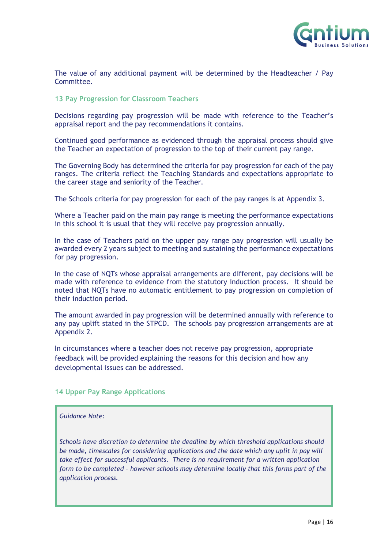

The value of any additional payment will be determined by the Headteacher / Pay Committee.

#### <span id="page-15-0"></span>**13 Pay Progression for Classroom Teachers**

Decisions regarding pay progression will be made with reference to the Teacher's appraisal report and the pay recommendations it contains.

Continued good performance as evidenced through the appraisal process should give the Teacher an expectation of progression to the top of their current pay range.

The Governing Body has determined the criteria for pay progression for each of the pay ranges. The criteria reflect the Teaching Standards and expectations appropriate to the career stage and seniority of the Teacher.

The Schools criteria for pay progression for each of the pay ranges is at Appendix 3.

Where a Teacher paid on the main pay range is meeting the performance expectations in this school it is usual that they will receive pay progression annually.

In the case of Teachers paid on the upper pay range pay progression will usually be awarded every 2 years subject to meeting and sustaining the performance expectations for pay progression.

In the case of NQTs whose appraisal arrangements are different, pay decisions will be made with reference to evidence from the statutory induction process. It should be noted that NQTs have no automatic entitlement to pay progression on completion of their induction period.

The amount awarded in pay progression will be determined annually with reference to any pay uplift stated in the STPCD. The schools pay progression arrangements are at Appendix 2.

In circumstances where a teacher does not receive pay progression, appropriate feedback will be provided explaining the reasons for this decision and how any developmental issues can be addressed.

#### <span id="page-15-1"></span>**14 Upper Pay Range Applications**

#### *Guidance Note:*

*Schools have discretion to determine the deadline by which threshold applications should*  be made, timescales for considering applications and the date which any uplit in pay will *take effect for successful applicants. There is no requirement for a written application form to be completed – however schools may determine locally that this forms part of the application process.*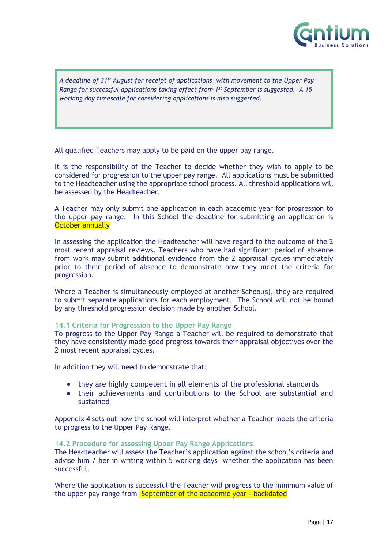

*A deadline of 31st August for receipt of applications with movement to the Upper Pay Range for successful applications taking effect from 1st September is suggested. A 15 working day timescale for considering applications is also suggested.*

All qualified Teachers may apply to be paid on the upper pay range.

It is the responsibility of the Teacher to decide whether they wish to apply to be considered for progression to the upper pay range. All applications must be submitted to the Headteacher using the appropriate school process. All threshold applications will be assessed by the Headteacher.

A Teacher may only submit one application in each academic year for progression to the upper pay range. In this School the deadline for submitting an application is **October annually** 

In assessing the application the Headteacher will have regard to the outcome of the 2 most recent appraisal reviews. Teachers who have had significant period of absence from work may submit additional evidence from the 2 appraisal cycles immediately prior to their period of absence to demonstrate how they meet the criteria for progression.

Where a Teacher is simultaneously employed at another School(s), they are required to submit separate applications for each employment. The School will not be bound by any threshold progression decision made by another School.

#### <span id="page-16-0"></span>**14.1 Criteria for Progression to the Upper Pay Range**

To progress to the Upper Pay Range a Teacher will be required to demonstrate that they have consistently made good progress towards their appraisal objectives over the 2 most recent appraisal cycles.

In addition they will need to demonstrate that:

- they are highly competent in all elements of the professional standards
- their achievements and contributions to the School are substantial and sustained

Appendix 4 sets out how the school will interpret whether a Teacher meets the criteria to progress to the Upper Pay Range.

#### <span id="page-16-1"></span>**14.2 Procedure for assessing Upper Pay Range Applications**

The Headteacher will assess the Teacher's application against the school's criteria and advise him / her in writing within 5 working days whether the application has been successful.

Where the application is successful the Teacher will progress to the minimum value of the upper pay range from September of the academic year - backdated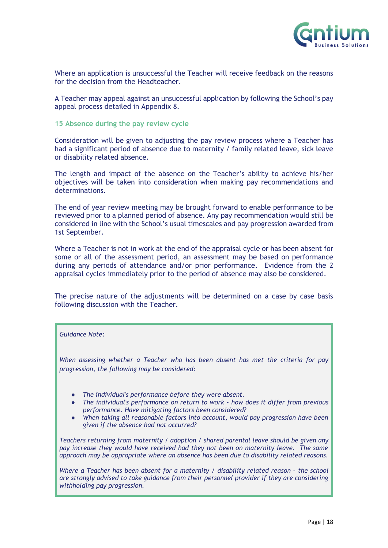

Where an application is unsuccessful the Teacher will receive feedback on the reasons for the decision from the Headteacher.

A Teacher may appeal against an unsuccessful application by following the School's pay appeal process detailed in Appendix 8.

#### <span id="page-17-0"></span>**15 Absence during the pay review cycle**

Consideration will be given to adjusting the pay review process where a Teacher has had a significant period of absence due to maternity / family related leave, sick leave or disability related absence.

The length and impact of the absence on the Teacher's ability to achieve his/her objectives will be taken into consideration when making pay recommendations and determinations.

The end of year review meeting may be brought forward to enable performance to be reviewed prior to a planned period of absence. Any pay recommendation would still be considered in line with the School's usual timescales and pay progression awarded from 1st September.

Where a Teacher is not in work at the end of the appraisal cycle or has been absent for some or all of the assessment period, an assessment may be based on performance during any periods of attendance and/or prior performance. Evidence from the 2 appraisal cycles immediately prior to the period of absence may also be considered.

The precise nature of the adjustments will be determined on a case by case basis following discussion with the Teacher.

#### *Guidance Note:*

*When assessing whether a Teacher who has been absent has met the criteria for pay progression, the following may be considered:*

- *The individual's performance before they were absent.*
- *The individual's performance on return to work - how does it differ from previous performance. Have mitigating factors been considered?*
- *When taking all reasonable factors into account, would pay progression have been given if the absence had not occurred?*

*Teachers returning from maternity / adoption / shared parental leave should be given any pay increase they would have received had they not been on maternity leave. The same approach may be appropriate where an absence has been due to disability related reasons.*

*Where a Teacher has been absent for a maternity / disability related reason - the school are strongly advised to take guidance from their personnel provider if they are considering withholding pay progression.*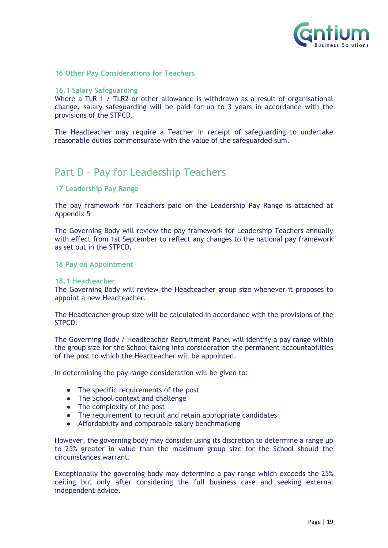

#### <span id="page-18-0"></span>**16 Other Pay Considerations for Teachers**

#### <span id="page-18-1"></span>**16.1 Salary Safeguarding**

Where a TLR 1 / TLR2 or other allowance is withdrawn as a result of organisational change, salary safeguarding will be paid for up to 3 years in accordance with the provisions of the STPCD.

The Headteacher may require a Teacher in receipt of safeguarding to undertake reasonable duties commensurate with the value of the safeguarded sum.

# <span id="page-18-2"></span>Part D – Pay for Leadership Teachers

#### <span id="page-18-3"></span>**17 Leadership Pay Range**

The pay framework for Teachers paid on the Leadership Pay Range is attached at Appendix 5

The Governing Body will review the pay framework for Leadership Teachers annually with effect from 1st September to reflect any changes to the national pay framework as set out in the STPCD.

#### <span id="page-18-4"></span>**18 Pay on Appointment**

#### <span id="page-18-5"></span>**18.1 Headteacher**

The Governing Body will review the Headteacher group size whenever it proposes to appoint a new Headteacher.

The Headteacher group size will be calculated in accordance with the provisions of the STPCD.

The Governing Body / Headteacher Recruitment Panel will identify a pay range within the group size for the School taking into consideration the permanent accountabilities of the post to which the Headteacher will be appointed.

In determining the pay range consideration will be given to:

- The specific requirements of the post
- The School context and challenge
- The complexity of the post
- The requirement to recruit and retain appropriate candidates
- Affordability and comparable salary benchmarking

However, the governing body may consider using its discretion to determine a range up to 25% greater in value than the maximum group size for the School should the circumstances warrant.

Exceptionally the governing body may determine a pay range which exceeds the 25% ceiling but only after considering the full business case and seeking external independent advice.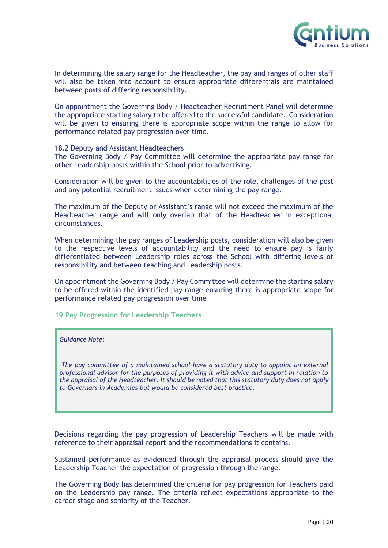

In determining the salary range for the Headteacher, the pay and ranges of other staff will also be taken into account to ensure appropriate differentials are maintained between posts of differing responsibility.

On appointment the Governing Body / Headteacher Recruitment Panel will determine the appropriate starting salary to be offered to the successful candidate. Consideration will be given to ensuring there is appropriate scope within the range to allow for performance related pay progression over time.

#### <span id="page-19-0"></span>18.2 Deputy and Assistant Headteachers

The Governing Body / Pay Committee will determine the appropriate pay range for other Leadership posts within the School prior to advertising.

Consideration will be given to the accountabilities of the role, challenges of the post and any potential recruitment issues when determining the pay range.

The maximum of the Deputy or Assistant's range will not exceed the maximum of the Headteacher range and will only overlap that of the Headteacher in exceptional circumstances.

When determining the pay ranges of Leadership posts, consideration will also be given to the respective levels of accountability and the need to ensure pay is fairly differentiated between Leadership roles across the School with differing levels of responsibility and between teaching and Leadership posts.

On appointment the Governing Body / Pay Committee will determine the starting salary to be offered within the identified pay range ensuring there is appropriate scope for performance related pay progression over time

#### <span id="page-19-1"></span>**19 Pay Progression for Leadership Teachers**

#### *Guidance Note:*

*The pay committee of a maintained school have a statutory duty to appoint an external professional advisor for the purposes of providing it with advice and support in relation to the appraisal of the Headteacher. It should be noted that this statutory duty does not apply to Governors in Academies but would be considered best practice.* 

Decisions regarding the pay progression of Leadership Teachers will be made with reference to their appraisal report and the recommendations it contains.

Sustained performance as evidenced through the appraisal process should give the Leadership Teacher the expectation of progression through the range.

The Governing Body has determined the criteria for pay progression for Teachers paid on the Leadership pay range. The criteria reflect expectations appropriate to the career stage and seniority of the Teacher.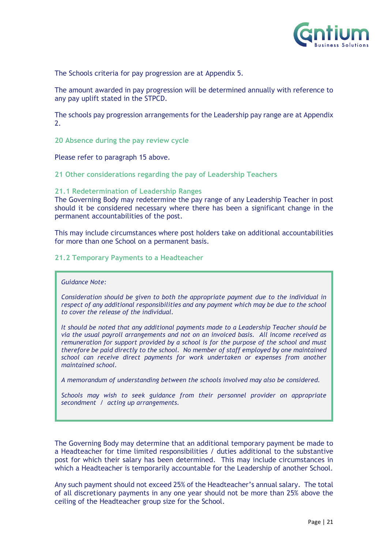

The Schools criteria for pay progression are at Appendix 5.

The amount awarded in pay progression will be determined annually with reference to any pay uplift stated in the STPCD.

The schools pay progression arrangements for the Leadership pay range are at Appendix 2.

<span id="page-20-0"></span>**20 Absence during the pay review cycle**

Please refer to paragraph 15 above.

<span id="page-20-1"></span>**21 Other considerations regarding the pay of Leadership Teachers**

#### <span id="page-20-2"></span>**21.1 Redetermination of Leadership Ranges**

The Governing Body may redetermine the pay range of any Leadership Teacher in post should it be considered necessary where there has been a significant change in the permanent accountabilities of the post.

This may include circumstances where post holders take on additional accountabilities for more than one School on a permanent basis.

#### <span id="page-20-3"></span>**21.2 Temporary Payments to a Headteacher**

#### *Guidance Note:*

*Consideration should be given to both the appropriate payment due to the individual in respect of any additional responsibilities and any payment which may be due to the school to cover the release of the individual.* 

*It should be noted that any additional payments made to a Leadership Teacher should be via the usual payroll arrangements and not on an invoiced basis. All income received as remuneration for support provided by a school is for the purpose of the school and must therefore be paid directly to the school. No member of staff employed by one maintained school can receive direct payments for work undertaken or expenses from another maintained school.*

*A memorandum of understanding between the schools involved may also be considered.*

*Schools may wish to seek guidance from their personnel provider on appropriate secondment / acting up arrangements.*

The Governing Body may determine that an additional temporary payment be made to a Headteacher for time limited responsibilities / duties additional to the substantive post for which their salary has been determined. This may include circumstances in which a Headteacher is temporarily accountable for the Leadership of another School.

<span id="page-20-4"></span>Any such payment should not exceed 25% of the Headteacher's annual salary. The total of all discretionary payments in any one year should not be more than 25% above the ceiling of the Headteacher group size for the School.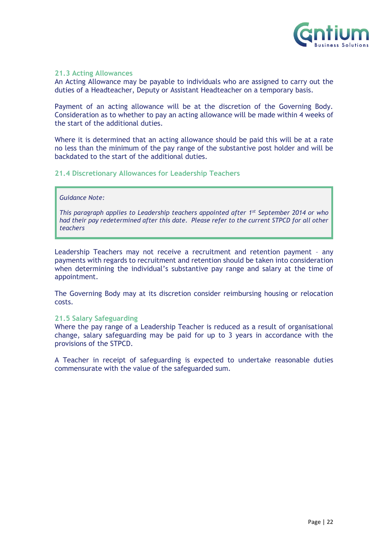

#### **21.3 Acting Allowances**

An Acting Allowance may be payable to individuals who are assigned to carry out the duties of a Headteacher, Deputy or Assistant Headteacher on a temporary basis.

Payment of an acting allowance will be at the discretion of the Governing Body. Consideration as to whether to pay an acting allowance will be made within 4 weeks of the start of the additional duties.

Where it is determined that an acting allowance should be paid this will be at a rate no less than the minimum of the pay range of the substantive post holder and will be backdated to the start of the additional duties.

#### <span id="page-21-0"></span>**21.4 Discretionary Allowances for Leadership Teachers**

#### *Guidance Note:*

*This paragraph applies to Leadership teachers appointed after 1st September 2014 or who had their pay redetermined after this date. Please refer to the current STPCD for all other teachers*

Leadership Teachers may not receive a recruitment and retention payment – any payments with regards to recruitment and retention should be taken into consideration when determining the individual's substantive pay range and salary at the time of appointment.

The Governing Body may at its discretion consider reimbursing housing or relocation costs.

#### <span id="page-21-1"></span>**21.5 Salary Safeguarding**

Where the pay range of a Leadership Teacher is reduced as a result of organisational change, salary safeguarding may be paid for up to 3 years in accordance with the provisions of the STPCD.

<span id="page-21-2"></span>A Teacher in receipt of safeguarding is expected to undertake reasonable duties commensurate with the value of the safeguarded sum.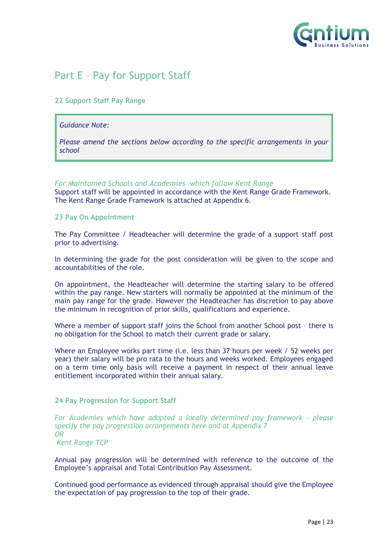

# Part E – Pay for Support Staff

#### <span id="page-22-0"></span>**22 Support Staff Pay Range**

#### *Guidance Note:*

*Please amend the sections below according to the specific arrangements in your school*

#### *For Maintained Schools and Academies which follow Kent Range*

Support staff will be appointed in accordance with the Kent Range Grade Framework. The Kent Range Grade Framework is attached at Appendix 6.

#### <span id="page-22-1"></span>**23 Pay On Appointment**

The Pay Committee / Headteacher will determine the grade of a support staff post prior to advertising.

In determining the grade for the post consideration will be given to the scope and accountabilities of the role.

On appointment, the Headteacher will determine the starting salary to be offered within the pay range. New starters will normally be appointed at the minimum of the main pay range for the grade. However the Headteacher has discretion to pay above the minimum in recognition of prior skills, qualifications and experience.

Where a member of support staff joins the School from another School post – there is no obligation for the School to match their current grade or salary.

Where an Employee works part time (i.e. less than 37 hours per week / 52 weeks per year) their salary will be pro rata to the hours and weeks worked. Employees engaged on a term time only basis will receive a payment in respect of their annual leave entitlement incorporated within their annual salary.

#### <span id="page-22-2"></span>**24 Pay Progression for Support Staff**

*For Academies which have adopted a locally determined pay framework – please specify the pay progression arrangements here and at Appendix 7 OR*

*Kent Range TCP*

Annual pay progression will be determined with reference to the outcome of the Employee's appraisal and Total Contribution Pay Assessment.

Continued good performance as evidenced through appraisal should give the Employee the expectation of pay progression to the top of their grade.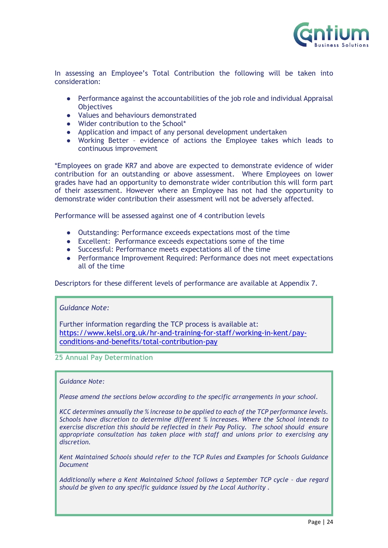

In assessing an Employee's Total Contribution the following will be taken into consideration:

- Performance against the accountabilities of the job role and individual Appraisal **Objectives**
- Values and behaviours demonstrated
- Wider contribution to the School\*
- Application and impact of any personal development undertaken
- Working Better evidence of actions the Employee takes which leads to continuous improvement

\*Employees on grade KR7 and above are expected to demonstrate evidence of wider contribution for an outstanding or above assessment. Where Employees on lower grades have had an opportunity to demonstrate wider contribution this will form part of their assessment. However where an Employee has not had the opportunity to demonstrate wider contribution their assessment will not be adversely affected.

Performance will be assessed against one of 4 contribution levels

- Outstanding: Performance exceeds expectations most of the time
- Excellent: Performance exceeds expectations some of the time
- Successful: Performance meets expectations all of the time
- Performance Improvement Required: Performance does not meet expectations all of the time

<span id="page-23-0"></span>Descriptors for these different levels of performance are available at Appendix 7.

#### *Guidance Note:*

Further information regarding the TCP process is available at: [https://www.kelsi.org.uk/hr-and-training-for-staff/working-in-kent/pay](https://www.kelsi.org.uk/hr-and-training-for-staff/working-in-kent/pay-conditions-and-benefits/total-contribution-pay)[conditions-and-benefits/total-contribution-pay](https://www.kelsi.org.uk/hr-and-training-for-staff/working-in-kent/pay-conditions-and-benefits/total-contribution-pay)

#### **25 Annual Pay Determination**

#### *Guidance Note:*

*Please amend the sections below according to the specific arrangements in your school.* 

*KCC determines annually the % increase to be applied to each of the TCP performance levels. Schools have discretion to determine different % increases. Where the School intends to exercise discretion this should be reflected in their Pay Policy. The school should ensure appropriate consultation has taken place with staff and unions prior to exercising any discretion.*

*Kent Maintained Schools should refer to the TCP Rules and Examples for Schools Guidance Document*

Additionally where a Kent Maintained School follows a September TCP cycle - due regard *should be given to any specific guidance issued by the Local Authority .*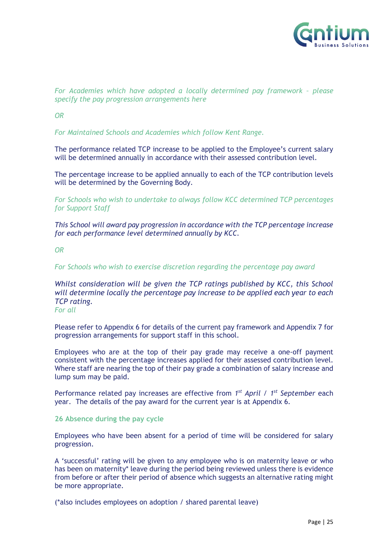

#### *For Academies which have adopted a locally determined pay framework – please specify the pay progression arrangements here*

*OR*

*For Maintained Schools and Academies which follow Kent Range.*

The performance related TCP increase to be applied to the Employee's current salary will be determined annually in accordance with their assessed contribution level.

The percentage increase to be applied annually to each of the TCP contribution levels will be determined by the Governing Body.

*For Schools who wish to undertake to always follow KCC determined TCP percentages for Support Staff*

*This School will award pay progression in accordance with the TCP percentage increase for each performance level determined annually by KCC.*

*OR*

*For Schools who wish to exercise discretion regarding the percentage pay award*

*Whilst consideration will be given the TCP ratings published by KCC, this School will determine locally the percentage pay increase to be applied each year to each TCP rating.*

*For all*

Please refer to Appendix 6 for details of the current pay framework and Appendix 7 for progression arrangements for support staff in this school.

Employees who are at the top of their pay grade may receive a one-off payment consistent with the percentage increases applied for their assessed contribution level. Where staff are nearing the top of their pay grade a combination of salary increase and lump sum may be paid.

Performance related pay increases are effective from 1<sup>st</sup> April / 1<sup>st</sup> September each year. The details of the pay award for the current year is at Appendix 6.

#### <span id="page-24-0"></span>**26 Absence during the pay cycle**

Employees who have been absent for a period of time will be considered for salary progression.

A 'successful' rating will be given to any employee who is on maternity leave or who has been on maternity\* leave during the period being reviewed unless there is evidence from before or after their period of absence which suggests an alternative rating might be more appropriate.

(\*also includes employees on adoption / shared parental leave)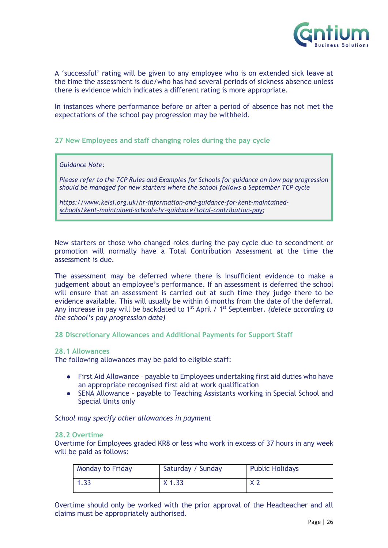

A 'successful' rating will be given to any employee who is on extended sick leave at the time the assessment is due/who has had several periods of sickness absence unless there is evidence which indicates a different rating is more appropriate.

In instances where performance before or after a period of absence has not met the expectations of the school pay progression may be withheld.

#### <span id="page-25-0"></span>**27 New Employees and staff changing roles during the pay cycle**

*Guidance Note:* 

*Please refer to the TCP Rules and Examples for Schools for guidance on how pay progression should be managed for new starters where the school follows a September TCP cycle* 

*[https://www.kelsi.org.uk/hr-information-and-guidance-for-kent-maintained](https://www.kelsi.org.uk/hr-information-and-guidance-for-kent-maintained-schools/kent-maintained-schools-hr-guidance/total-contribution-pay)[schools/kent-maintained-schools-hr-guidance/total-contribution-pay;](https://www.kelsi.org.uk/hr-information-and-guidance-for-kent-maintained-schools/kent-maintained-schools-hr-guidance/total-contribution-pay)*

New starters or those who changed roles during the pay cycle due to secondment or promotion will normally have a Total Contribution Assessment at the time the assessment is due.

The assessment may be deferred where there is insufficient evidence to make a judgement about an employee's performance. If an assessment is deferred the school will ensure that an assessment is carried out at such time they judge there to be evidence available. This will usually be within 6 months from the date of the deferral. Any increase in pay will be backdated to 1<sup>st</sup> April / 1<sup>st</sup> September. *(delete according to the school's pay progression date)*

<span id="page-25-1"></span>**28 Discretionary Allowances and Additional Payments for Support Staff**

#### <span id="page-25-2"></span>**28.1 Allowances**

The following allowances may be paid to eligible staff:

- First Aid Allowance payable to Employees undertaking first aid duties who have an appropriate recognised first aid at work qualification
- SENA Allowance payable to Teaching Assistants working in Special School and Special Units only

*School may specify other allowances in payment*

#### <span id="page-25-3"></span>**28.2 Overtime**

Overtime for Employees graded KR8 or less who work in excess of 37 hours in any week will be paid as follows:

| <b>Monday to Friday</b> | Saturday / Sunday | <b>Public Holidays</b> |
|-------------------------|-------------------|------------------------|
|                         | $X$ 1.33          |                        |

Overtime should only be worked with the prior approval of the Headteacher and all claims must be appropriately authorised.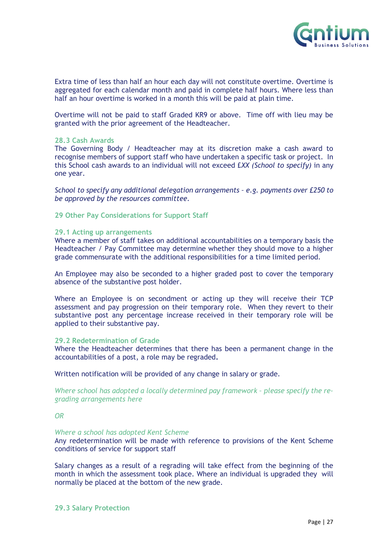

Extra time of less than half an hour each day will not constitute overtime. Overtime is aggregated for each calendar month and paid in complete half hours. Where less than half an hour overtime is worked in a month this will be paid at plain time.

Overtime will not be paid to staff Graded KR9 or above. Time off with lieu may be granted with the prior agreement of the Headteacher.

#### <span id="page-26-0"></span>**28.3 Cash Awards**

The Governing Body / Headteacher may at its discretion make a cash award to recognise members of support staff who have undertaken a specific task or project. In this School cash awards to an individual will not exceed £*XX (School to specify)* in any one year.

*School to specify any additional delegation arrangements – e.g. payments over £250 to be approved by the resources committee.*

<span id="page-26-1"></span>**29 Other Pay Considerations for Support Staff**

#### <span id="page-26-2"></span>**29.1 Acting up arrangements**

Where a member of staff takes on additional accountabilities on a temporary basis the Headteacher / Pay Committee may determine whether they should move to a higher grade commensurate with the additional responsibilities for a time limited period.

An Employee may also be seconded to a higher graded post to cover the temporary absence of the substantive post holder.

Where an Employee is on secondment or acting up they will receive their TCP assessment and pay progression on their temporary role. When they revert to their substantive post any percentage increase received in their temporary role will be applied to their substantive pay.

#### <span id="page-26-3"></span>**29.2 Redetermination of Grade**

Where the Headteacher determines that there has been a permanent change in the accountabilities of a post, a role may be regraded**.** 

Written notification will be provided of any change in salary or grade.

Where school has adopted a locally determined pay framework - please specify the re*grading arrangements here*

*OR*

#### *Where a school has adopted Kent Scheme*

Any redetermination will be made with reference to provisions of the Kent Scheme conditions of service for support staff

<span id="page-26-4"></span>Salary changes as a result of a regrading will take effect from the beginning of the month in which the assessment took place. Where an individual is upgraded they will normally be placed at the bottom of the new grade.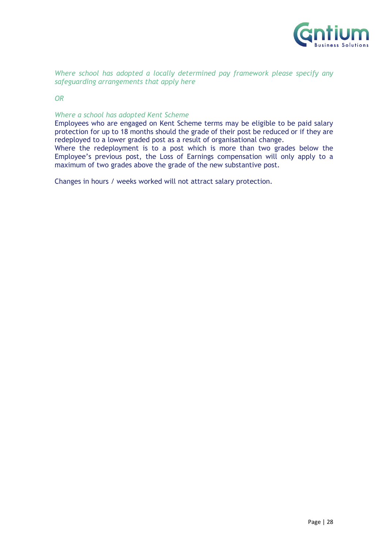

*Where school has adopted a locally determined pay framework please specify any safeguarding arrangements that apply here*

*OR* 

#### *Where a school has adopted Kent Scheme*

Employees who are engaged on Kent Scheme terms may be eligible to be paid salary protection for up to 18 months should the grade of their post be reduced or if they are redeployed to a lower graded post as a result of organisational change.

Where the redeployment is to a post which is more than two grades below the Employee's previous post, the Loss of Earnings compensation will only apply to a maximum of two grades above the grade of the new substantive post.

<span id="page-27-0"></span>Changes in hours / weeks worked will not attract salary protection.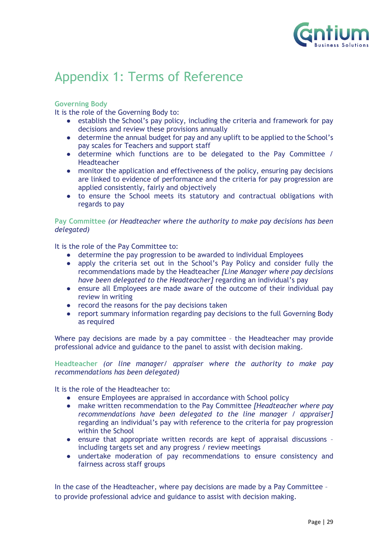

# Appendix 1: Terms of Reference

#### **Governing Body**

It is the role of the Governing Body to:

- establish the School's pay policy, including the criteria and framework for pay decisions and review these provisions annually
- determine the annual budget for pay and any uplift to be applied to the School's pay scales for Teachers and support staff
- determine which functions are to be delegated to the Pay Committee / Headteacher
- monitor the application and effectiveness of the policy, ensuring pay decisions are linked to evidence of performance and the criteria for pay progression are applied consistently, fairly and objectively
- to ensure the School meets its statutory and contractual obligations with regards to pay

#### **Pay Committee** *(or Headteacher where the authority to make pay decisions has been delegated)*

It is the role of the Pay Committee to:

- determine the pay progression to be awarded to individual Employees
- apply the criteria set out in the School's Pay Policy and consider fully the recommendations made by the Headteacher *[Line Manager where pay decisions have been delegated to the Headteacher]* regarding an individual's pay
- ensure all Employees are made aware of the outcome of their individual pay review in writing
- record the reasons for the pay decisions taken
- report summary information regarding pay decisions to the full Governing Body as required

Where pay decisions are made by a pay committee – the Headteacher may provide professional advice and guidance to the panel to assist with decision making.

**Headteacher** *(or line manager/ appraiser where the authority to make pay recommendations has been delegated)*

It is the role of the Headteacher to:

- ensure Employees are appraised in accordance with School policy
- make written recommendation to the Pay Committee *[Headteacher where pay recommendations have been delegated to the line manager / appraiser]* regarding an individual's pay with reference to the criteria for pay progression within the School
- ensure that appropriate written records are kept of appraisal discussions including targets set and any progress / review meetings
- undertake moderation of pay recommendations to ensure consistency and fairness across staff groups

In the case of the Headteacher, where pay decisions are made by a Pay Committee – to provide professional advice and guidance to assist with decision making.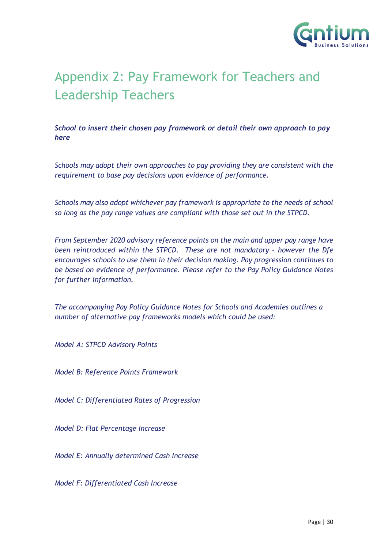

# <span id="page-29-0"></span>Appendix 2: Pay Framework for Teachers and Leadership Teachers

*School to insert their chosen pay framework or detail their own approach to pay here*

*Schools may adopt their own approaches to pay providing they are consistent with the requirement to base pay decisions upon evidence of performance.* 

*Schools may also adopt whichever pay framework is appropriate to the needs of school so long as the pay range values are compliant with those set out in the STPCD.* 

*From September 2020 advisory reference points on the main and upper pay range have been reintroduced within the STPCD. These are not mandatory - however the Dfe encourages schools to use them in their decision making. Pay progression continues to be based on evidence of performance. Please refer to the Pay Policy Guidance Notes for further information.*

*The accompanying Pay Policy Guidance Notes for Schools and Academies outlines a number of alternative pay frameworks models which could be used:*

*Model A: STPCD Advisory Points*

*Model B: Reference Points Framework*

*Model C: Differentiated Rates of Progression*

*Model D: Flat Percentage Increase*

*Model E: Annually determined Cash Increase*

*Model F: Differentiated Cash Increase*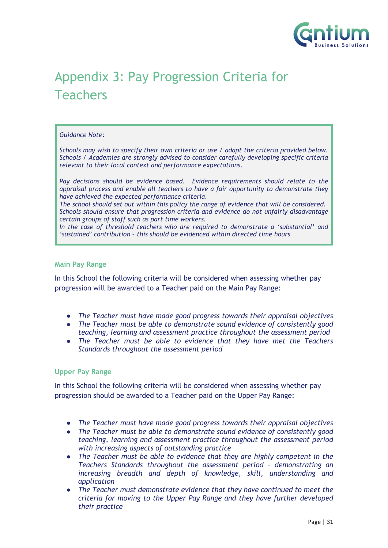

# <span id="page-30-0"></span>Appendix 3: Pay Progression Criteria for **Teachers**

#### *Guidance Note:*

*Schools may wish to specify their own criteria or use / adapt the criteria provided below. Schools / Academies are strongly advised to consider carefully developing specific criteria relevant to their local context and performance expectations.*

*Pay decisions should be evidence based. Evidence requirements should relate to the appraisal process and enable all teachers to have a fair opportunity to demonstrate they have achieved the expected performance criteria.*

*The school should set out within this policy the range of evidence that will be considered. Schools should ensure that progression criteria and evidence do not unfairly disadvantage certain groups of staff such as part time workers.*

*In the case of threshold teachers who are required to demonstrate a 'substantial' and 'sustained' contribution – this should be evidenced within directed time hours*

#### **Main Pay Range**

In this School the following criteria will be considered when assessing whether pay progression will be awarded to a Teacher paid on the Main Pay Range:

- *The Teacher must have made good progress towards their appraisal objectives*
- *The Teacher must be able to demonstrate sound evidence of consistently good teaching, learning and assessment practice throughout the assessment period*
- *The Teacher must be able to evidence that they have met the Teachers Standards throughout the assessment period*

#### **Upper Pay Range**

In this School the following criteria will be considered when assessing whether pay progression should be awarded to a Teacher paid on the Upper Pay Range:

- *The Teacher must have made good progress towards their appraisal objectives*
- *The Teacher must be able to demonstrate sound evidence of consistently good teaching, learning and assessment practice throughout the assessment period with increasing aspects of outstanding practice*
- *The Teacher must be able to evidence that they are highly competent in the Teachers Standards throughout the assessment period – demonstrating an increasing breadth and depth of knowledge, skill, understanding and application*
- *The Teacher must demonstrate evidence that they have continued to meet the criteria for moving to the Upper Pay Range and they have further developed their practice*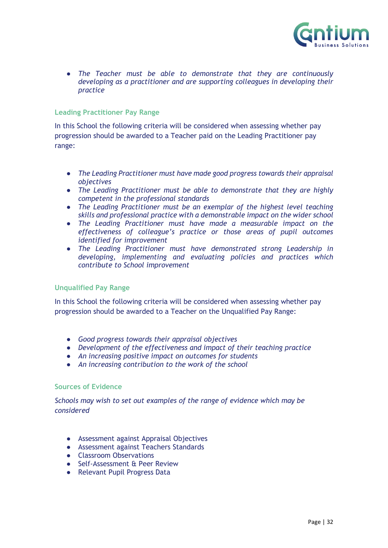

● *The Teacher must be able to demonstrate that they are continuously developing as a practitioner and are supporting colleagues in developing their practice*

#### **Leading Practitioner Pay Range**

In this School the following criteria will be considered when assessing whether pay progression should be awarded to a Teacher paid on the Leading Practitioner pay range:

- *The Leading Practitioner must have made good progress towards their appraisal objectives*
- *The Leading Practitioner must be able to demonstrate that they are highly competent in the professional standards*
- *The Leading Practitioner must be an exemplar of the highest level teaching skills and professional practice with a demonstrable impact on the wider school*
- *The Leading Practitioner must have made a measurable impact on the effectiveness of colleague's practice or those areas of pupil outcomes identified for improvement*
- *The Leading Practitioner must have demonstrated strong Leadership in developing, implementing and evaluating policies and practices which contribute to School improvement*

#### **Unqualified Pay Range**

In this School the following criteria will be considered when assessing whether pay progression should be awarded to a Teacher on the Unqualified Pay Range:

- *Good progress towards their appraisal objectives*
- *Development of the effectiveness and impact of their teaching practice*
- *An increasing positive impact on outcomes for students*
- *An increasing contribution to the work of the school*

#### **Sources of Evidence**

*Schools may wish to set out examples of the range of evidence which may be considered*

- Assessment against Appraisal Objectives
- Assessment against Teachers Standards
- Classroom Observations
- Self-Assessment & Peer Review
- Relevant Pupil Progress Data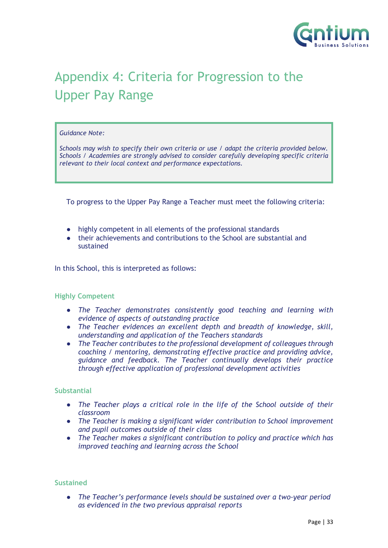

# <span id="page-32-0"></span>Appendix 4: Criteria for Progression to the Upper Pay Range

#### *Guidance Note:*

*Schools may wish to specify their own criteria or use / adapt the criteria provided below. Schools / Academies are strongly advised to consider carefully developing specific criteria relevant to their local context and performance expectations.*

To progress to the Upper Pay Range a Teacher must meet the following criteria:

- highly competent in all elements of the professional standards
- their achievements and contributions to the School are substantial and sustained

In this School, this is interpreted as follows:

#### **Highly Competent**

- *The Teacher demonstrates consistently good teaching and learning with evidence of aspects of outstanding practice*
- *The Teacher evidences an excellent depth and breadth of knowledge, skill, understanding and application of the Teachers standards*
- *The Teacher contributes to the professional development of colleagues through coaching / mentoring, demonstrating effective practice and providing advice, guidance and feedback. The Teacher continually develops their practice through effective application of professional development activities*

#### **Substantial**

- *The Teacher plays a critical role in the life of the School outside of their classroom*
- *The Teacher is making a significant wider contribution to School improvement and pupil outcomes outside of their class*
- *The Teacher makes a significant contribution to policy and practice which has improved teaching and learning across the School*

#### **Sustained**

● *The Teacher's performance levels should be sustained over a two-year period as evidenced in the two previous appraisal reports*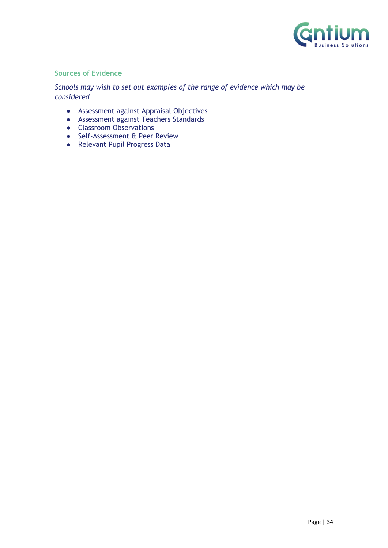

#### **Sources of Evidence**

*Schools may wish to set out examples of the range of evidence which may be considered*

- Assessment against Appraisal Objectives
- Assessment against Teachers Standards
- Classroom Observations
- Self-Assessment & Peer Review
- <span id="page-33-0"></span>● Relevant Pupil Progress Data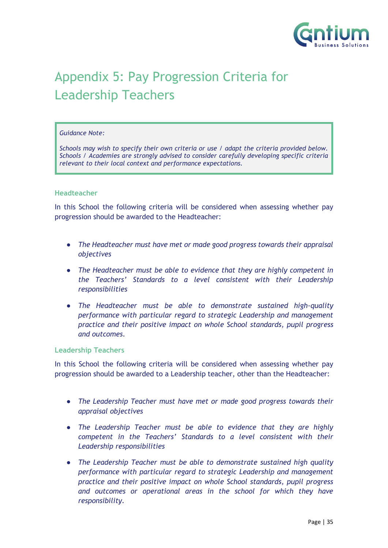

# Appendix 5: Pay Progression Criteria for Leadership Teachers

#### *Guidance Note:*

*Schools may wish to specify their own criteria or use / adapt the criteria provided below. Schools / Academies are strongly advised to consider carefully developing specific criteria relevant to their local context and performance expectations.*

#### **Headteacher**

In this School the following criteria will be considered when assessing whether pay progression should be awarded to the Headteacher:

- *The Headteacher must have met or made good progress towards their appraisal objectives*
- *The Headteacher must be able to evidence that they are highly competent in the Teachers' Standards to a level consistent with their Leadership responsibilities*
- *The Headteacher must be able to demonstrate sustained high-quality performance with particular regard to strategic Leadership and management practice and their positive impact on whole School standards, pupil progress and outcomes*.

#### **Leadership Teachers**

In this School the following criteria will be considered when assessing whether pay progression should be awarded to a Leadership teacher, other than the Headteacher:

- *The Leadership Teacher must have met or made good progress towards their appraisal objectives*
- *The Leadership Teacher must be able to evidence that they are highly competent in the Teachers' Standards to a level consistent with their Leadership responsibilities*
- *The Leadership Teacher must be able to demonstrate sustained high quality performance with particular regard to strategic Leadership and management practice and their positive impact on whole School standards, pupil progress and outcomes or operational areas in the school for which they have responsibility.*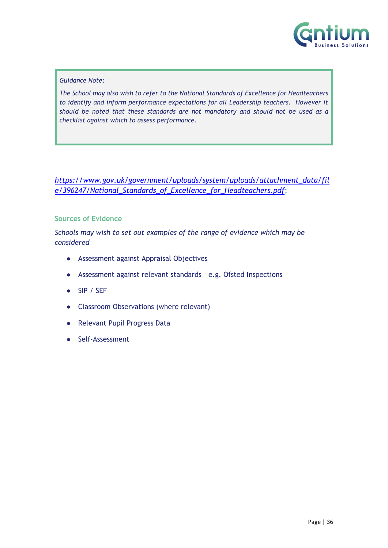

#### *Guidance Note:*

*The School may also wish to refer to the National Standards of Excellence for Headteachers to identify and inform performance expectations for all Leadership teachers. However it should be noted that these standards are not mandatory and should not be used as a checklist against which to assess performance.*

*[https://www.gov.uk/government/uploads/system/uploads/attachment\\_data/fil](https://www.gov.uk/government/uploads/system/uploads/attachment_data/file/396247/National_Standards_of_Excellence_for_Headteachers.pdf) [e/396247/National\\_Standards\\_of\\_Excellence\\_for\\_Headteachers.pdf](https://www.gov.uk/government/uploads/system/uploads/attachment_data/file/396247/National_Standards_of_Excellence_for_Headteachers.pdf)*;

#### **Sources of Evidence**

*Schools may wish to set out examples of the range of evidence which may be considered*

- Assessment against Appraisal Objectives
- Assessment against relevant standards e.g. Ofsted Inspections
- SIP / SEF
- Classroom Observations (where relevant)
- Relevant Pupil Progress Data
- <span id="page-35-0"></span>● Self-Assessment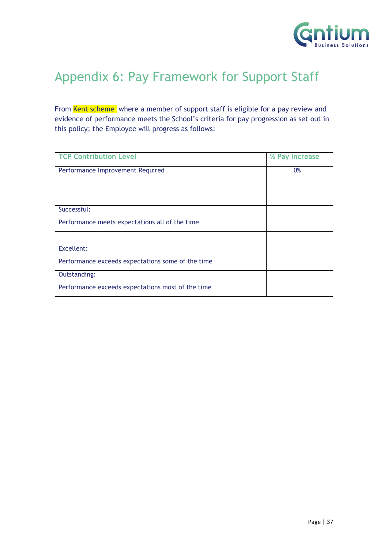

# Appendix 6: Pay Framework for Support Staff

From Kent scheme where a member of support staff is eligible for a pay review and evidence of performance meets the School's criteria for pay progression as set out in this policy; the Employee will progress as follows:

<span id="page-36-0"></span>

| <b>TCP Contribution Level</b>                     | % Pay Increase |
|---------------------------------------------------|----------------|
| Performance Improvement Required                  | 0%             |
|                                                   |                |
|                                                   |                |
| Successful:                                       |                |
| Performance meets expectations all of the time    |                |
|                                                   |                |
| Excellent:                                        |                |
| Performance exceeds expectations some of the time |                |
| Outstanding:                                      |                |
| Performance exceeds expectations most of the time |                |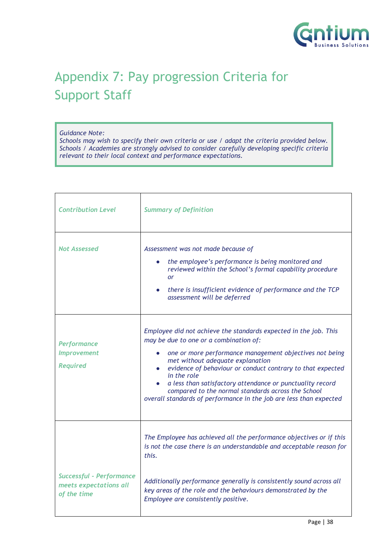

# Appendix 7: Pay progression Criteria for Support Staff

#### *Guidance Note:*

*Schools may wish to specify their own criteria or use / adapt the criteria provided below. Schools / Academies are strongly advised to consider carefully developing specific criteria relevant to their local context and performance expectations.*

| <b>Contribution Level</b>                                                | <b>Summary of Definition</b>                                                                                                                                                                                                                                                                                                                                                                                                                                                                 |
|--------------------------------------------------------------------------|----------------------------------------------------------------------------------------------------------------------------------------------------------------------------------------------------------------------------------------------------------------------------------------------------------------------------------------------------------------------------------------------------------------------------------------------------------------------------------------------|
| <b>Not Assessed</b>                                                      | Assessment was not made because of<br>the employee's performance is being monitored and<br>reviewed within the School's formal capability procedure<br><b>or</b><br>there is insufficient evidence of performance and the TCP<br>assessment will be deferred                                                                                                                                                                                                                                 |
| <b>Performance</b><br><b>Improvement</b><br><b>Required</b>              | Employee did not achieve the standards expected in the job. This<br>may be due to one or a combination of:<br>one or more performance management objectives not being<br>$\bullet$<br>met without adequate explanation<br>evidence of behaviour or conduct contrary to that expected<br>in the role<br>a less than satisfactory attendance or punctuality record<br>compared to the normal standards across the School<br>overall standards of performance in the job are less than expected |
|                                                                          | The Employee has achieved all the performance objectives or if this<br>is not the case there is an understandable and acceptable reason for<br>this.                                                                                                                                                                                                                                                                                                                                         |
| <b>Successful - Performance</b><br>meets expectations all<br>of the time | Additionally performance generally is consistently sound across all<br>key areas of the role and the behaviours demonstrated by the<br>Employee are consistently positive.                                                                                                                                                                                                                                                                                                                   |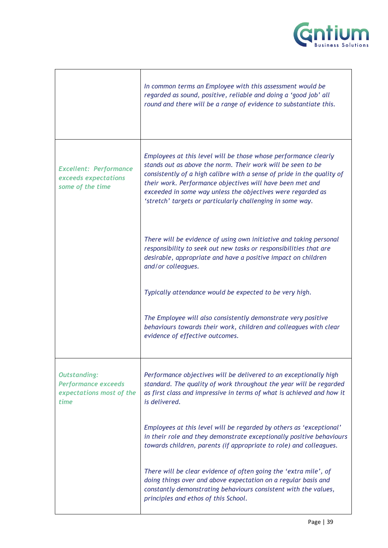

|                                                                                       | In common terms an Employee with this assessment would be<br>regarded as sound, positive, reliable and doing a 'good job' all<br>round and there will be a range of evidence to substantiate this.                                                                                                                                                                                                 |
|---------------------------------------------------------------------------------------|----------------------------------------------------------------------------------------------------------------------------------------------------------------------------------------------------------------------------------------------------------------------------------------------------------------------------------------------------------------------------------------------------|
| <b>Excellent: Performance</b><br>exceeds expectations<br>some of the time             | Employees at this level will be those whose performance clearly<br>stands out as above the norm. Their work will be seen to be<br>consistently of a high calibre with a sense of pride in the quality of<br>their work. Performance objectives will have been met and<br>exceeded in some way unless the objectives were regarded as<br>'stretch' targets or particularly challenging in some way. |
|                                                                                       | There will be evidence of using own initiative and taking personal<br>responsibility to seek out new tasks or responsibilities that are<br>desirable, appropriate and have a positive impact on children<br>and/or colleagues.                                                                                                                                                                     |
|                                                                                       | Typically attendance would be expected to be very high.                                                                                                                                                                                                                                                                                                                                            |
|                                                                                       | The Employee will also consistently demonstrate very positive<br>behaviours towards their work, children and colleagues with clear<br>evidence of effective outcomes.                                                                                                                                                                                                                              |
| <b>Outstanding:</b><br><b>Performance exceeds</b><br>expectations most of the<br>time | Performance objectives will be delivered to an exceptionally high<br>standard. The quality of work throughout the year will be regarded<br>as first class and impressive in terms of what is achieved and how it<br>is delivered.                                                                                                                                                                  |
|                                                                                       | Employees at this level will be regarded by others as 'exceptional'<br>in their role and they demonstrate exceptionally positive behaviours<br>towards children, parents (if appropriate to role) and colleagues.                                                                                                                                                                                  |
|                                                                                       | There will be clear evidence of often going the 'extra mile', of<br>doing things over and above expectation on a regular basis and<br>constantly demonstrating behaviours consistent with the values,<br>principles and ethos of this School.                                                                                                                                                      |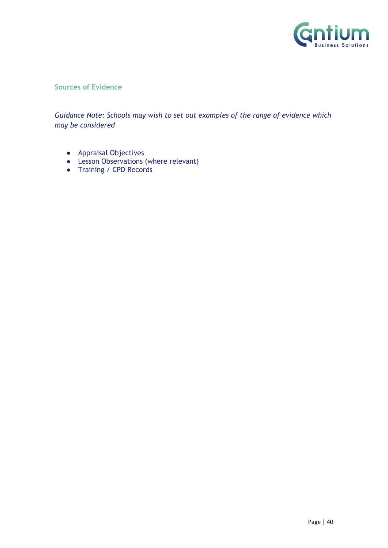

#### **Sources of Evidence**

*Guidance Note: Schools may wish to set out examples of the range of evidence which may be considered*

- Appraisal Objectives
- Lesson Observations (where relevant)
- <span id="page-39-0"></span>● Training / CPD Records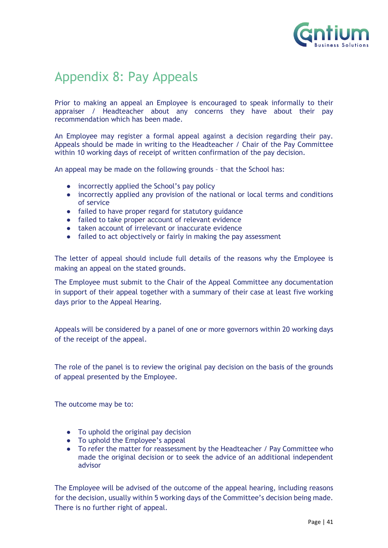

# Appendix 8: Pay Appeals

Prior to making an appeal an Employee is encouraged to speak informally to their appraiser / Headteacher about any concerns they have about their pay recommendation which has been made.

An Employee may register a formal appeal against a decision regarding their pay. Appeals should be made in writing to the Headteacher / Chair of the Pay Committee within 10 working days of receipt of written confirmation of the pay decision.

An appeal may be made on the following grounds – that the School has:

- incorrectly applied the School's pay policy
- incorrectly applied any provision of the national or local terms and conditions of service
- failed to have proper regard for statutory guidance
- failed to take proper account of relevant evidence
- taken account of irrelevant or inaccurate evidence
- failed to act objectively or fairly in making the pay assessment

The letter of appeal should include full details of the reasons why the Employee is making an appeal on the stated grounds.

The Employee must submit to the Chair of the Appeal Committee any documentation in support of their appeal together with a summary of their case at least five working days prior to the Appeal Hearing.

Appeals will be considered by a panel of one or more governors within 20 working days of the receipt of the appeal.

The role of the panel is to review the original pay decision on the basis of the grounds of appeal presented by the Employee.

The outcome may be to:

- To uphold the original pay decision
- To uphold the Employee's appeal
- To refer the matter for reassessment by the Headteacher / Pay Committee who made the original decision or to seek the advice of an additional independent advisor

The Employee will be advised of the outcome of the appeal hearing, including reasons for the decision, usually within 5 working days of the Committee's decision being made. There is no further right of appeal.